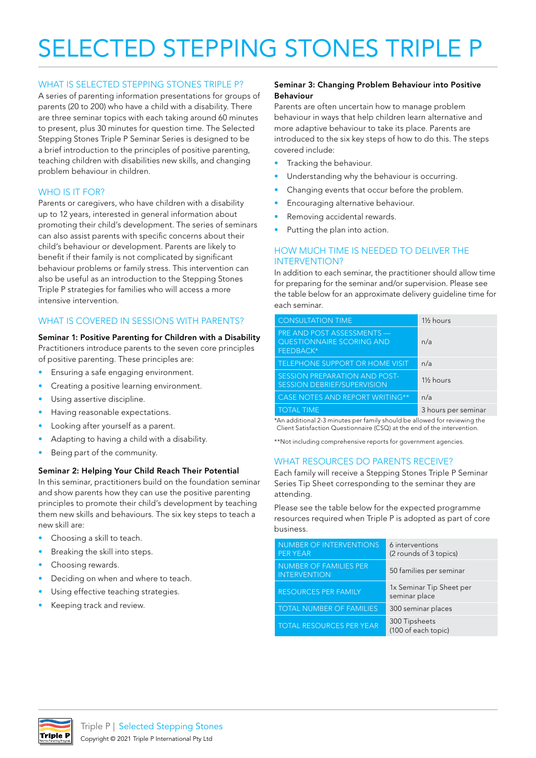# SELECTED STEPPING STONES TRIPLE P

## WHAT IS SELECTED STEPPING STONES TRIPLE P?

A series of parenting information presentations for groups of parents (20 to 200) who have a child with a disability. There are three seminar topics with each taking around 60 minutes to present, plus 30 minutes for question time. The Selected Stepping Stones Triple P Seminar Series is designed to be a brief introduction to the principles of positive parenting, teaching children with disabilities new skills, and changing problem behaviour in children.

# WHO IS IT FOR?

Parents or caregivers, who have children with a disability up to 12 years, interested in general information about promoting their child's development. The series of seminars can also assist parents with specific concerns about their child's behaviour or development. Parents are likely to benefit if their family is not complicated by significant behaviour problems or family stress. This intervention can also be useful as an introduction to the Stepping Stones Triple P strategies for families who will access a more intensive intervention.

# WHAT IS COVERED IN SESSIONS WITH PARENTS?

### Seminar 1: Positive Parenting for Children with a Disability

Practitioners introduce parents to the seven core principles of positive parenting. These principles are:

- Ensuring a safe engaging environment.
- Creating a positive learning environment.
- Using assertive discipline.
- Having reasonable expectations.
- Looking after yourself as a parent.
- Adapting to having a child with a disability.
- Being part of the community.

#### Seminar 2: Helping Your Child Reach Their Potential

In this seminar, practitioners build on the foundation seminar and show parents how they can use the positive parenting principles to promote their child's development by teaching them new skills and behaviours. The six key steps to teach a new skill are:

- Choosing a skill to teach.
- Breaking the skill into steps.
- Choosing rewards.
- Deciding on when and where to teach.
- Using effective teaching strategies.
- Keeping track and review.

### Seminar 3: Changing Problem Behaviour into Positive Behaviour

Parents are often uncertain how to manage problem behaviour in ways that help children learn alternative and more adaptive behaviour to take its place. Parents are introduced to the six key steps of how to do this. The steps covered include:

- Tracking the behaviour.
- Understanding why the behaviour is occurring.
- Changing events that occur before the problem.
- Encouraging alternative behaviour.
- Removing accidental rewards.
- Putting the plan into action.

### HOW MUCH TIME IS NEEDED TO DELIVER THE INTERVENTION?

In addition to each seminar, the practitioner should allow time for preparing for the seminar and/or supervision. Please see the table below for an approximate delivery guideline time for each seminar.

| <b>CONSULTATION TIME</b>                                                    | 1 <sup>1</sup> / <sub>2</sub> hours |
|-----------------------------------------------------------------------------|-------------------------------------|
| PRE AND POST ASSESSMENTS —<br><b>QUESTIONNAIRE SCORING AND</b><br>FEEDBACK* | n/a                                 |
| TELEPHONE SUPPORT OR HOME VISIT                                             | n/a                                 |
| SESSION PREPARATION AND POST-<br><b>SESSION DEBRIEF/SUPERVISION</b>         | 1 <sup>1</sup> / <sub>2</sub> hours |
| CASE NOTES AND REPORT WRITING**                                             | n/a                                 |
| <b>TOTAL TIME</b>                                                           | 3 hours per seminar                 |

\*An additional 2-3 minutes per family should be allowed for reviewing the Client Satisfaction Questionnaire (CSQ) at the end of the intervention.

\*\*Not including comprehensive reports for government agencies.

#### WHAT RESOURCES DO PARENTS RECEIVE?

Each family will receive a Stepping Stones Triple P Seminar Series Tip Sheet corresponding to the seminar they are attending.

Please see the table below for the expected programme resources required when Triple P is adopted as part of core business.

| NUMBER OF INTERVENTIONS<br><b>PER YEAR</b>           | 6 interventions<br>(2 rounds of 3 topics) |
|------------------------------------------------------|-------------------------------------------|
| <b>NUMBER OF FAMILIES PER</b><br><b>INTERVENTION</b> | 50 families per seminar                   |
| <b>RESOURCES PER FAMILY</b>                          | 1x Seminar Tip Sheet per<br>seminar place |
| <b>TOTAL NUMBER OF FAMILIES</b>                      | 300 seminar places                        |
| <b>TOTAL RESOURCES PER YEAR</b>                      | 300 Tipsheets<br>(100 of each topic)      |